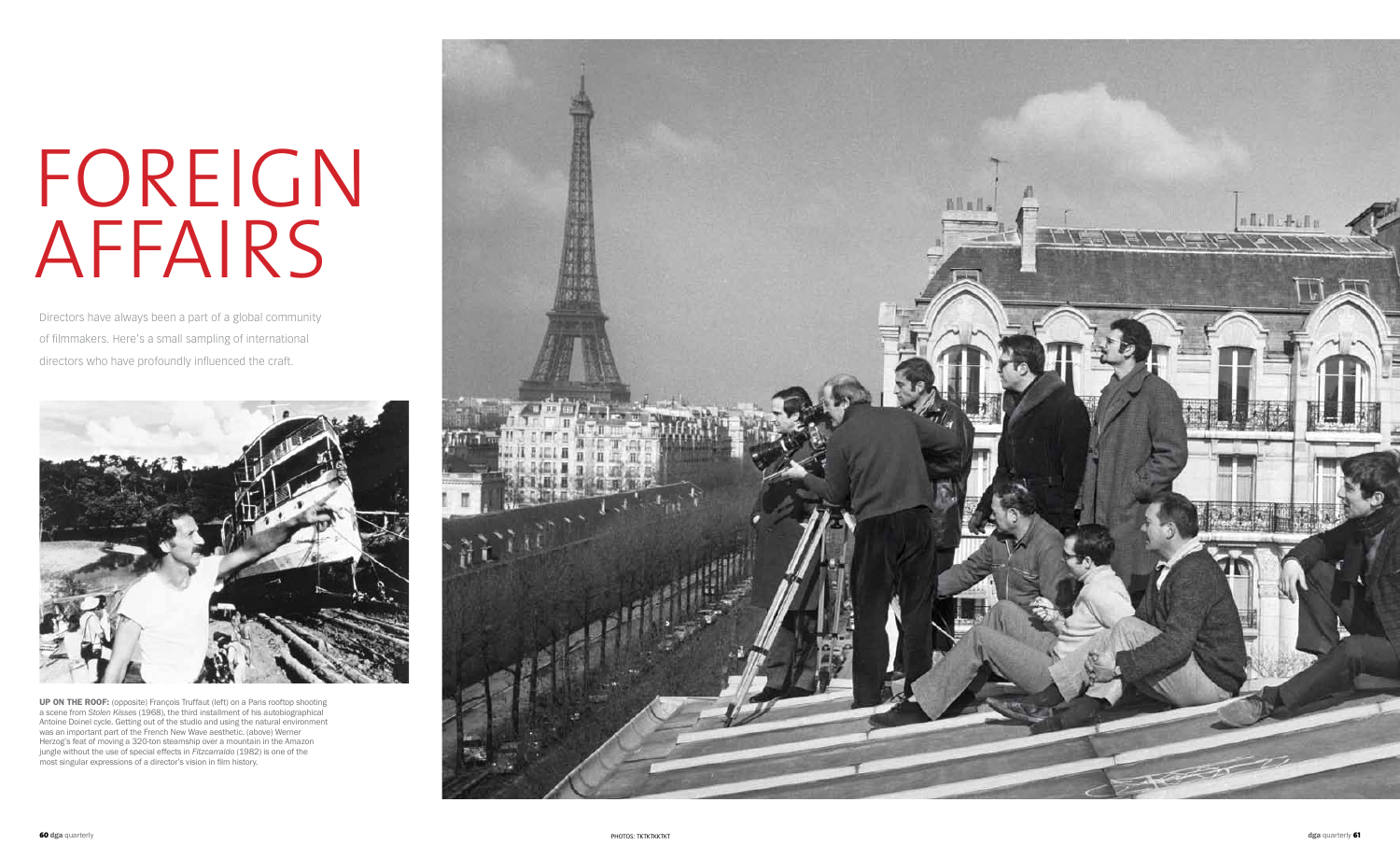## FOREIGN affairs

Directors have always been a part of a global community of filmmakers. Here's a small sampling of international directors who have profoundly influenced the craft.



up on the roof: (opposite) François Truffaut (left) on a Paris rooftop shooting a scene from *Stolen Kisses* (1968), the third installment of his autobiographical Antoine Doinel cycle. Getting out of the studio and using the natural environment was an important part of the French New Wave aesthetic. (above) Werner Herzog's feat of moving a 320-ton steamship over a mountain in the Amazon jungle without the use of special effects in *Fitzcarraldo* (1982) is one of the most singular expressions of a director's vision in film history.

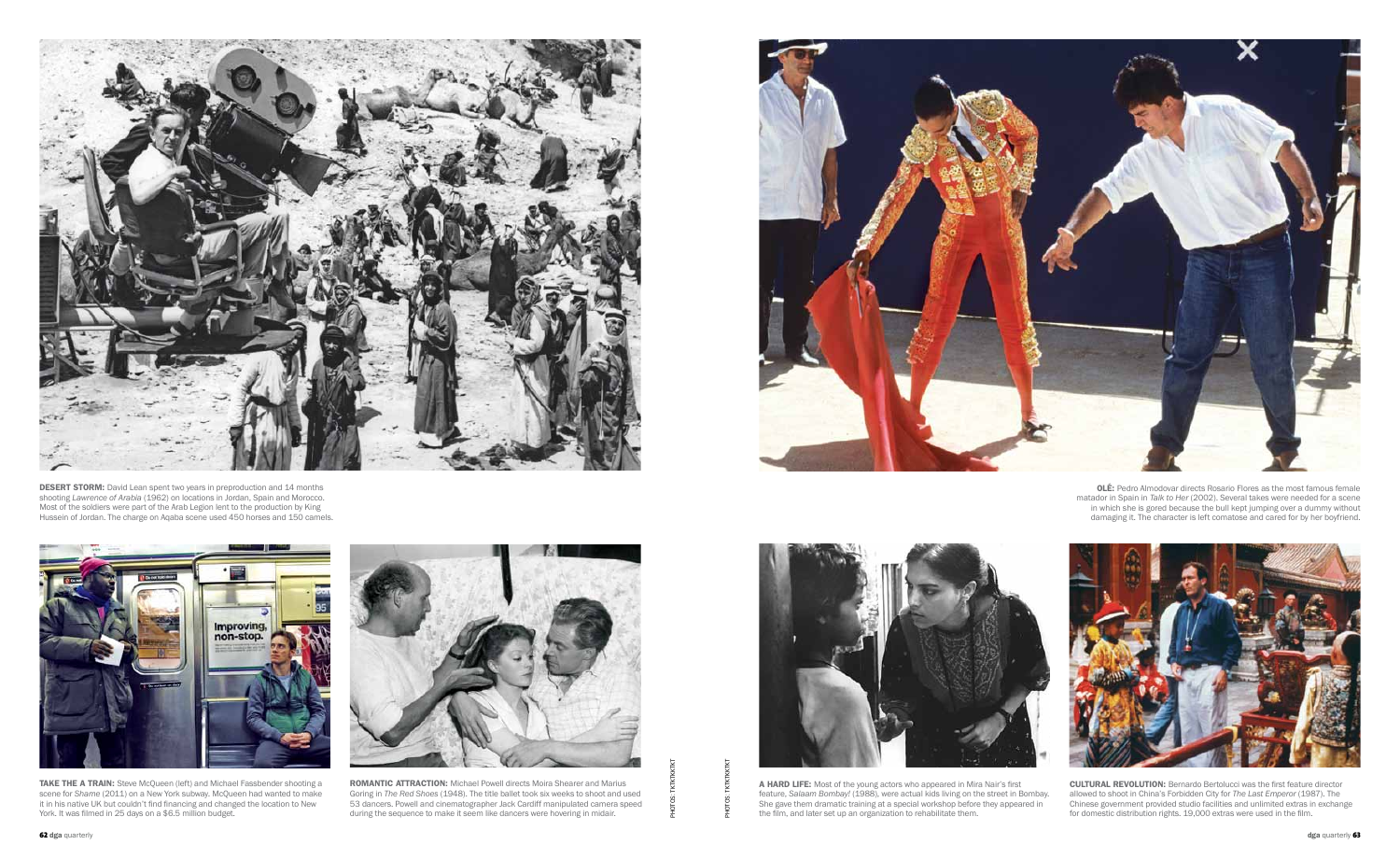

EXAME THE A TRANI: Steve McQueen (left) and Michael Fassbender shooting a<br>
scene for Shame 2011) on a New School and Michael Powell and Michael Powell directs Moira Shearer and Marius<br>
the manner and the second the state o ROMANTIC ATTRACTION: Michael Powell directs Moira Shearer and Marius Goring in *The Red Shoes* (1948). The title ballet took six weeks to shoot and used 53 dancers. Powell and cinematographer Jack Cardiff manipulated camera speed during the sequence to make it seem like dancers were hovering in midair.





**CULTURAL REVOLUTION:** Bernardo Bertolucci was the first feature director allowed to shoot in China's Forbidden City for *The Last Emperor* (1987). The Chinese government provided studio facilities and unlimited extras in exchange for domestic distribution rights. 19,000 extras were used in the film.



**DESERT STORM:** David Lean spent two years in preproduction and 14 months shooting *Lawrence of Arabia* (1962) on locations in Jordan, Spain and Morocco. Most of the soldiers were part of the Arab Legion lent to the production by King Hussein of Jordan. The charge on Aqaba scene used 450 horses and 150 camels.



TAKE THE A TRAIN: Steve McQueen (left) and Michael Fassbender shooting a scene for *Shame* (2011) on a New York subway. McQueen had wanted to make it in his native UK but couldn't find financing and changed the location to New York. It was filmed in 25 days on a \$6.5 million budget.

OLÉ: Pedro Almodovar directs Rosario Flores as the most famous female matador in Spain in *Talk to Her* (2002). Several takes were needed for a scene in which she is gored because the bull kept jumping over a dummy without damaging it. The character is left comatose and cared for by her boyfriend.



A HARD LIFE: Most of the young actors who appeared in Mira Nair's first feature, *Salaam Bombay!* (1988), were actual kids living on the street in Bombay. She gave them dramatic training at a special workshop before they appeared in the film, and later set up an organization to rehabilitate them.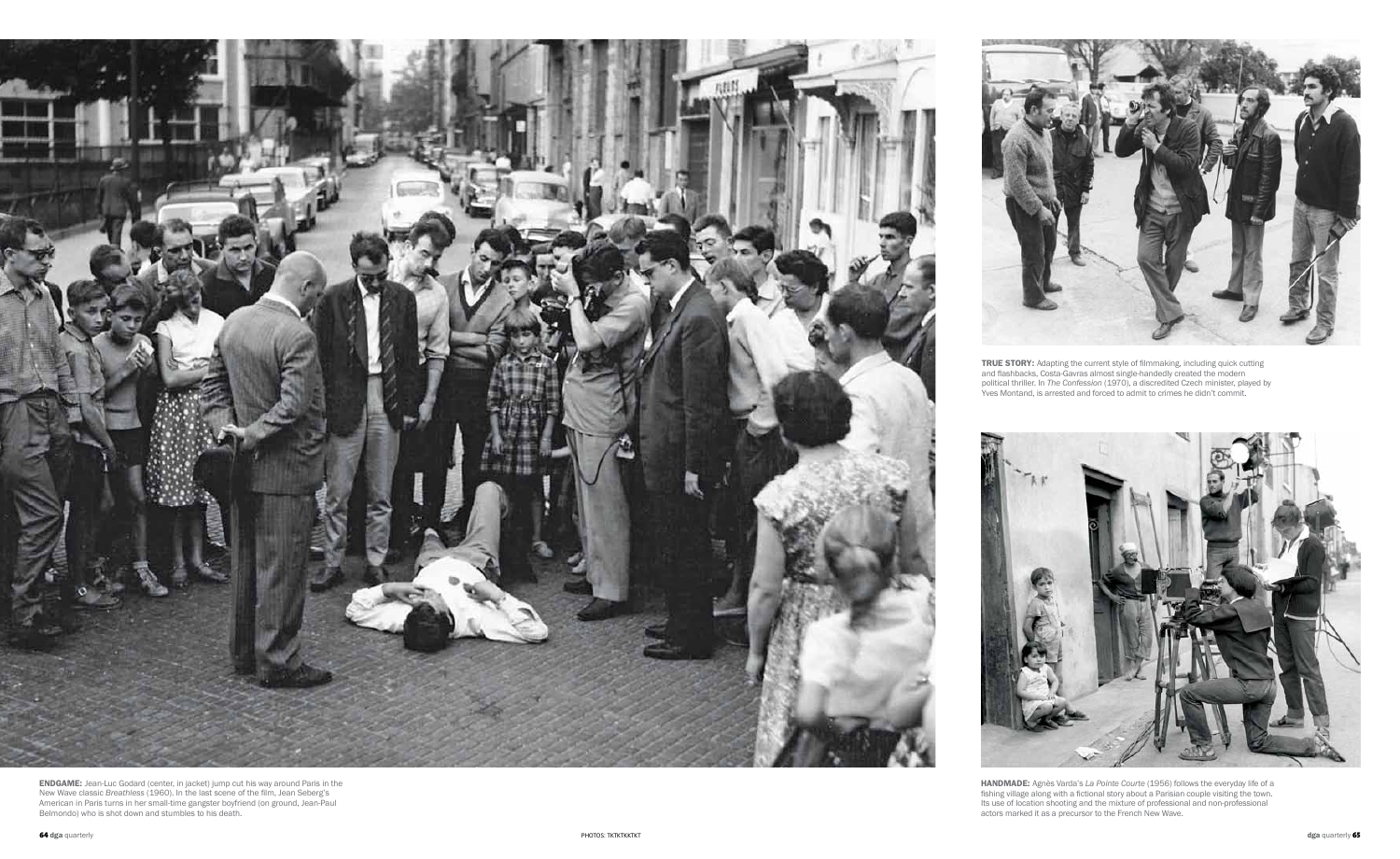HANDMADE: Agnès Varda's La Pointe Courte (1956) follows the everyday life of a fishing village along with a fictional story about a Parisian couple visiting the town. Its use of location shooting and the mixture of professional and non-professional actors marked it as a precursor to the French New Wave.



**ENDGAME:** Jean-Luc Godard (center, in jacket) jump cut his way around Paris in the New Wave classic *Breathless* (1960). In the last scene of the film, Jean Seberg's American in Paris turns in her small-time gangster boyfriend (on ground, Jean-Paul Belmondo) who is shot down and stumbles to his death.



TRUE STORY: Adapting the current style of filmmaking, including quick cutting and flashbacks, Costa-Gavras almost single-handedly created the modern political thriller. In *The Confession* (1970), a discredited Czech minister, played by Yves Montand, is arrested and forced to admit to crimes he didn't commit.